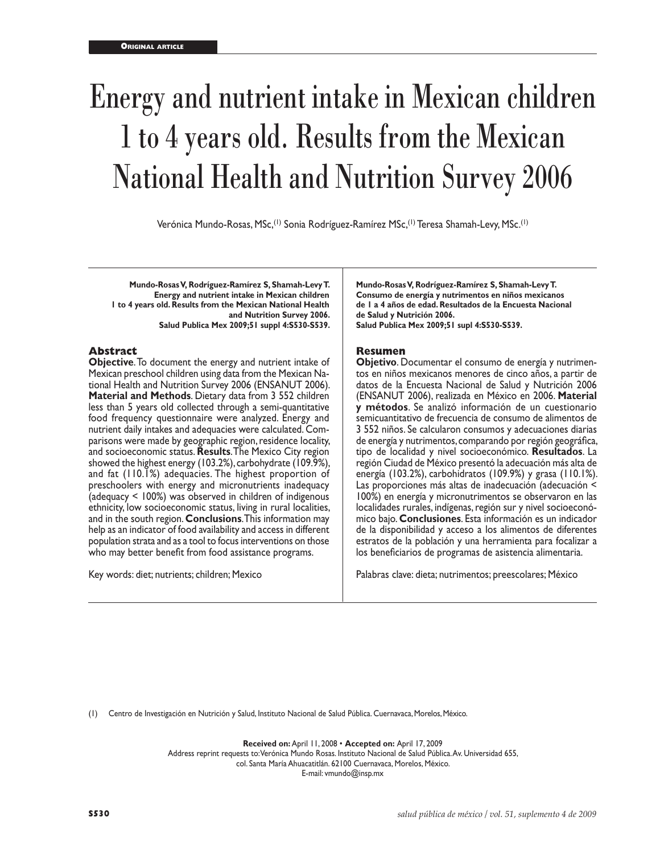# Energy and nutrient intake in Mexican children 1 to 4 years old. Results from the Mexican National Health and Nutrition Survey 2006

Verónica Mundo-Rosas, MSc,<sup>(1)</sup> Sonia Rodríguez-Ramírez MSc,<sup>(1)</sup> Teresa Shamah-Levy, MSc.<sup>(1)</sup>

**Mundo-Rosas V, Rodríguez-Ramírez S, Shamah-Levy T. Energy and nutrient intake in Mexican children 1 to 4 years old. Results from the Mexican National Health and Nutrition Survey 2006. Salud Publica Mex 2009;51 suppl 4:S530-S539.**

#### **Abstract**

**Objective**. To document the energy and nutrient intake of Mexican preschool children using data from the Mexican National Health and Nutrition Survey 2006 (ENSANUT 2006). **Material and Methods**. Dietary data from 3 552 children less than 5 years old collected through a semi-quantitative food frequency questionnaire were analyzed. Energy and nutrient daily intakes and adequacies were calculated. Comparisons were made by geographic region, residence locality, and socioeconomic status. **Results**. The Mexico City region showed the highest energy (103.2%), carbohydrate (109.9%), and fat (110.1%) adequacies. The highest proportion of preschoolers with energy and micronutrients inadequacy (adequacy < 100%) was observed in children of indigenous ethnicity, low socioeconomic status, living in rural localities, and in the south region. **Conclusions**. This information may help as an indicator of food availability and access in different population strata and as a tool to focus interventions on those who may better benefit from food assistance programs.

Key words: diet; nutrients; children; Mexico

**Mundo-Rosas V, Rodríguez-Ramírez S, Shamah-Levy T. Consumo de energía y nutrimentos en niños mexicanos de 1 a 4 años de edad. Resultados de la Encuesta Nacional de Salud y Nutrición 2006. Salud Publica Mex 2009;51 supl 4:S530-S539.**

#### **Resumen**

**Objetivo**. Documentar el consumo de energía y nutrimentos en niños mexicanos menores de cinco años, a partir de datos de la Encuesta Nacional de Salud y Nutrición 2006 (ENSANUT 2006), realizada en México en 2006. **Material y métodos**. Se analizó información de un cuestionario semicuantitativo de frecuencia de consumo de alimentos de 3 552 niños. Se calcularon consumos y adecuaciones diarias de energía y nutrimentos, comparando por región geográfica, tipo de localidad y nivel socioeconómico. **Resultados**. La región Ciudad de México presentó la adecuación más alta de energía (103.2%), carbohidratos (109.9%) y grasa (110.1%). Las proporciones más altas de inadecuación (adecuación < 100%) en energía y micronutrimentos se observaron en las localidades rurales, indígenas, región sur y nivel socioeconó mico bajo. **Conclusiones**. Esta información es un indicador de la disponibilidad y acceso a los alimentos de diferentes estratos de la población y una herramienta para focalizar a los beneficiarios de programas de asistencia alimentaria.

Palabras clave: dieta; nutrimentos; preescolares; México

(1) Centro de Investigación en Nutrición y Salud, Instituto Nacional de Salud Pública. Cuernavaca, Morelos, México.

**Received on:** April 11, 2008 • **Accepted on:** April 17, 2009

Address reprint requests to: Verónica Mundo Rosas. Instituto Nacional de Salud Pública. Av. Universidad 655,

col. Santa María Ahuacatitlán. 62100 Cuernavaca, Morelos, México.

E-mail: vmundo@insp.mx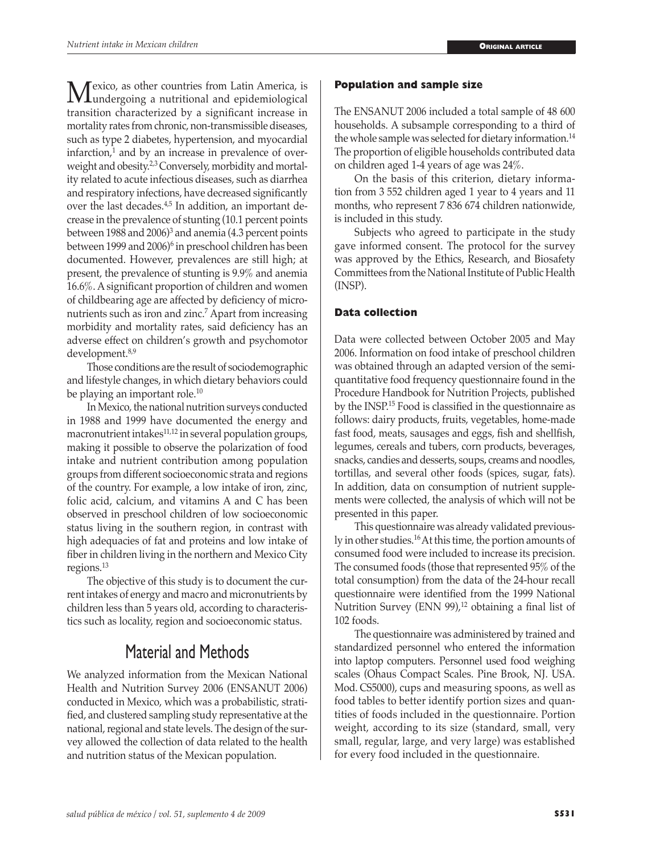Mexico, as other countries from Latin America, is<br>
transition abancterized by a significant increase in transition characterized by a significant increase in mortality rates from chronic, non-transmissible diseases, such as type 2 diabetes, hypertension, and myocardial infarction,<sup>1</sup> and by an increase in prevalence of overweight and obesity.<sup>2,3</sup> Conversely, morbidity and mortality related to acute infectious diseases, such as diarrhea and respiratory infections, have decreased significantly over the last decades.<sup>4,5</sup> In addition, an important decrease in the prevalence of stunting (10.1 percent points between 1988 and 2006)<sup>3</sup> and anemia (4.3 percent points between 1999 and 2006)<sup>6</sup> in preschool children has been documented. However, prevalences are still high; at present, the prevalence of stunting is 9.9% and anemia 16.6%. A significant proportion of children and women of childbearing age are affected by deficiency of micronutrients such as iron and zinc.<sup>7</sup> Apart from increasing morbidity and mortality rates, said deficiency has an adverse effect on children's growth and psychomotor development.8,9

Those conditions are the result of sociodemographic and lifestyle changes, in which dietary behaviors could be playing an important role.<sup>10</sup>

In Mexico, the national nutrition surveys conducted in 1988 and 1999 have documented the energy and macronutrient intakes $11,12$  in several population groups, making it possible to observe the polarization of food intake and nutrient contribution among population groups from different socioeconomic strata and regions of the country. For example, a low intake of iron, zinc, folic acid, calcium, and vitamins A and C has been observed in preschool children of low socioeconomic status living in the southern region, in contrast with high adequacies of fat and proteins and low intake of fiber in children living in the northern and Mexico City regions.<sup>13</sup>

The objective of this study is to document the current intakes of energy and macro and micronutrients by children less than 5 years old, according to characteristics such as locality, region and socioeconomic status.

# Material and Methods

We analyzed information from the Mexican National Health and Nutrition Survey 2006 (ENSANUT 2006) conducted in Mexico, which was a probabilistic, stratified, and clustered sampling study representative at the national, regional and state levels. The design of the survey allowed the collection of data related to the health and nutrition status of the Mexican population.

## **Population and sample size**

The ENSANUT 2006 included a total sample of 48 600 households. A subsample corresponding to a third of the whole sample was selected for dietary information.<sup>14</sup> The proportion of eligible households contributed data on children aged 1-4 years of age was 24%.

On the basis of this criterion, dietary information from 3 552 children aged 1 year to 4 years and 11 months, who represent 7 836 674 children nationwide, is included in this study.

Subjects who agreed to participate in the study gave informed consent. The protocol for the survey was approved by the Ethics, Research, and Biosafety Committees from the National Institute of Public Health (INSP).

## **Data collection**

Data were collected between October 2005 and May 2006. Information on food intake of preschool children was obtained through an adapted version of the semiquantitative food frequency questionnaire found in the Procedure Handbook for Nutrition Projects, published by the INSP.<sup>15</sup> Food is classified in the questionnaire as follows: dairy products, fruits, vegetables, home-made fast food, meats, sausages and eggs, fish and shellfish, legumes, cereals and tubers, corn products, beverages, snacks, candies and desserts, soups, creams and noodles, tortillas, and several other foods (spices, sugar, fats). In addition, data on consumption of nutrient supplements were collected, the analysis of which will not be presented in this paper.

This questionnaire was already validated previously in other studies.16 At this time, the portion amounts of consumed food were included to increase its precision. The consumed foods (those that represented 95% of the total consumption) from the data of the 24-hour recall questionnaire were identified from the 1999 National Nutrition Survey (ENN 99), $^{12}$  obtaining a final list of 102 foods.

The questionnaire was administered by trained and standardized personnel who entered the information into laptop computers. Personnel used food weighing scales (Ohaus Compact Scales. Pine Brook, NJ. USA. Mod. CS5000), cups and measuring spoons, as well as food tables to better identify portion sizes and quantities of foods included in the questionnaire. Portion weight, according to its size (standard, small, very small, regular, large, and very large) was established for every food included in the questionnaire.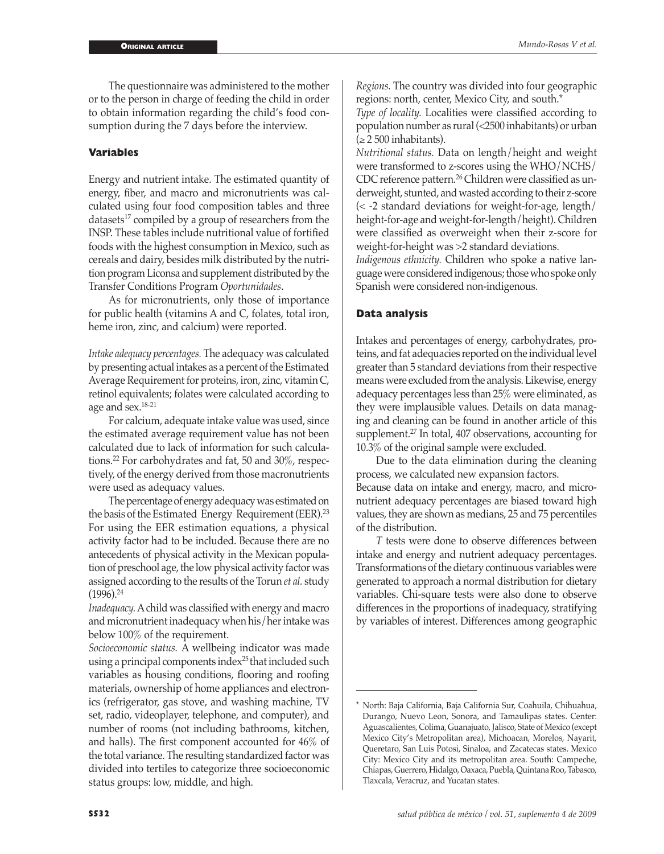The questionnaire was administered to the mother or to the person in charge of feeding the child in order to obtain information regarding the child's food consumption during the 7 days before the interview.

## **Variables**

Energy and nutrient intake. The estimated quantity of energy, fiber, and macro and micronutrients was calculated using four food composition tables and three datasets $^{17}$  compiled by a group of researchers from the INSP. These tables include nutritional value of fortified foods with the highest consumption in Mexico, such as cereals and dairy, besides milk distributed by the nutrition program Liconsa and supplement distributed by the Transfer Conditions Program *Oportunidades*.

As for micronutrients, only those of importance for public health (vitamins A and C, folates, total iron, heme iron, zinc, and calcium) were reported.

*Intake adequacy percentages.* The adequacy was calculated by presenting actual intakes as a percent of the Estimated Average Requirement for proteins, iron, zinc, vitamin C, retinol equivalents; folates were calculated according to age and sex.18-21

For calcium, adequate intake value was used, since the estimated average requirement value has not been calculated due to lack of information for such calculations.22 For carbohydrates and fat, 50 and 30%, respectively, of the energy derived from those macronutrients were used as adequacy values.

The percentage of energy adequacy was estimated on the basis of the Estimated Energy Requirement (EER).<sup>23</sup> For using the EER estimation equations, a physical activity factor had to be included. Because there are no antecedents of physical activity in the Mexican population of preschool age, the low physical activity factor was assigned according to the results of the Torun *et al.* study  $(1996).^{24}$ 

*Inadequacy.* A child was classified with energy and macro and micronutrient inadequacy when his/her intake was below 100% of the requirement.

*Socioeconomic status.* A wellbeing indicator was made using a principal components index<sup>25</sup> that included such variables as housing conditions, flooring and roofing materials, ownership of home appliances and electronics (refrigerator, gas stove, and washing machine, TV set, radio, videoplayer, telephone, and computer), and number of rooms (not including bathrooms, kitchen, and halls). The first component accounted for 46% of the total variance. The resulting standardized factor was divided into tertiles to categorize three socioeconomic status groups: low, middle, and high.

*Regions.* The country was divided into four geographic regions: north, center, Mexico City, and south.\*

*Type of locality.* Localities were classified according to population number as rural (<2500 inhabitants) or urban  $(≥ 2500$  inhabitants).

*Nutritional status.* Data on length/height and weight were transformed to z-scores using the WHO/NCHS/ CDC reference pattern.26 Children were classified as underweight, stunted, and wasted according to their z-score (< -2 standard deviations for weight-for-age, length/ height-for-age and weight-for-length/height). Children were classified as overweight when their z-score for weight-for-height was >2 standard deviations.

*Indigenous ethnicity.* Children who spoke a native language were considered indigenous; those who spoke only Spanish were considered non-indigenous.

## **Data analysis**

Intakes and percentages of energy, carbohydrates, proteins, and fat adequacies reported on the individual level greater than 5 standard deviations from their respective means were excluded from the analysis. Likewise, energy adequacy percentages less than 25% were eliminated, as they were implausible values. Details on data managing and cleaning can be found in another article of this supplement.27 In total, 407 observations, accounting for 10.3% of the original sample were excluded.

Due to the data elimination during the cleaning process, we calculated new expansion factors. Because data on intake and energy, macro, and micronutrient adequacy percentages are biased toward high values, they are shown as medians, 25 and 75 percentiles of the distribution.

*T* tests were done to observe differences between intake and energy and nutrient adequacy percentages. Transformations of the dietary continuous variables were generated to approach a normal distribution for dietary variables. Chi-square tests were also done to observe differences in the proportions of inadequacy, stratifying by variables of interest. Differences among geographic

<sup>\*</sup> North: Baja California, Baja California Sur, Coahuila, Chihuahua, Durango, Nuevo Leon, Sonora, and Tamaulipas states. Center: Aguascalientes, Colima, Guanajuato, Jalisco, State of Mexico (except Mexico City's Metropolitan area), Michoacan, Morelos, Nayarit, Queretaro, San Luis Potosi, Sinaloa, and Zacatecas states. Mexico City: Mexico City and its metropolitan area. South: Campeche, Chiapas, Guerrero, Hidalgo, Oaxaca, Puebla, Quintana Roo, Tabasco, Tlaxcala, Veracruz, and Yucatan states.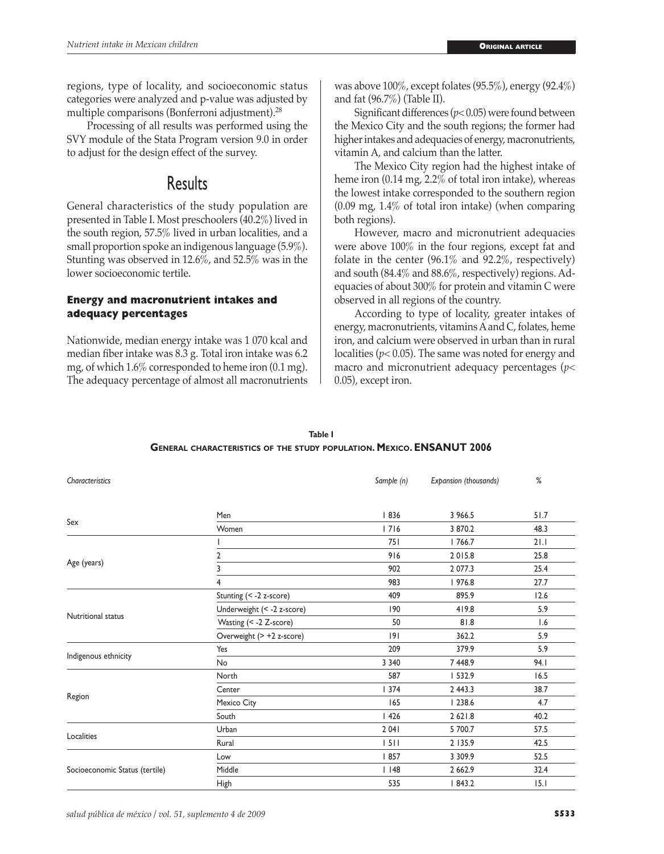regions, type of locality, and socioeconomic status categories were analyzed and p-value was adjusted by multiple comparisons (Bonferroni adjustment).28

Processing of all results was performed using the SVY module of the Stata Program version 9.0 in order to adjust for the design effect of the survey.

# Results

General characteristics of the study population are presented in Table I. Most preschoolers (40.2%) lived in the south region, 57.5% lived in urban localities, and a small proportion spoke an indigenous language (5.9%). Stunting was observed in 12.6%, and 52.5% was in the lower socioeconomic tertile.

# **Energy and macronutrient intakes and adequacy percentages**

Nationwide, median energy intake was 1 070 kcal and median fiber intake was 8.3 g. Total iron intake was 6.2 mg, of which 1.6% corresponded to heme iron (0.1 mg). The adequacy percentage of almost all macronutrients

was above 100%, except folates (95.5%), energy (92.4%) and fat (96.7%) (Table II).

Significant differences (*p*< 0.05) were found between the Mexico City and the south regions; the former had higher intakes and adequacies of energy, macronutrients, vitamin A, and calcium than the latter.

The Mexico City region had the highest intake of heme iron (0.14 mg, 2.2% of total iron intake), whereas the lowest intake corresponded to the southern region (0.09 mg, 1.4% of total iron intake) (when comparing both regions).

However, macro and micronutrient adequacies were above 100% in the four regions, except fat and folate in the center (96.1% and 92.2%, respectively) and south (84.4% and 88.6%, respectively) regions. Adequacies of about 300% for protein and vitamin C were observed in all regions of the country.

According to type of locality, greater intakes of energy, macronutrients, vitamins A and C, folates, heme iron, and calcium were observed in urban than in rural localities (*p*< 0.05). The same was noted for energy and macro and micronutrient adequacy percentages (*p*< 0.05), except iron.

| Characteristics                |                            | Sample (n) | Expansion (thousands) | ℅    |
|--------------------------------|----------------------------|------------|-----------------------|------|
|                                |                            |            |                       |      |
|                                | Men                        | 836        | 3 966.5               | 51.7 |
| Sex                            | Women                      | 716        | 3 870.2               | 48.3 |
|                                |                            | 751        | 1766.7                | 21.1 |
|                                | 2                          | 916        | 2015.8                | 25.8 |
| Age (years)                    | 3                          | 902        | 2 077.3               | 25.4 |
|                                | 4                          | 983        | 976.8                 | 27.7 |
|                                | Stunting (< -2 z-score)    | 409        | 895.9                 | 12.6 |
| Nutritional status             | Underweight (< -2 z-score) | 190        | 419.8                 | 5.9  |
|                                | Wasting (< -2 Z-score)     | 50         | 81.8                  | 1.6  |
|                                | Overweight (> +2 z-score)  | 9          | 362.2                 | 5.9  |
| Indigenous ethnicity           | Yes                        | 209        | 379.9                 | 5.9  |
|                                | No                         | 3 3 4 0    | 7 448.9               | 94.I |
|                                | North                      | 587        | 532.9                 | 16.5 |
|                                | Center                     | 1374       | 2 443.3               | 38.7 |
| Region                         | Mexico City                | 165        | 1238.6                | 4.7  |
|                                | South                      | 1426       | 2 62 1.8              | 40.2 |
| Localities                     | Urban                      | 2 0 4 1    | 5 700.7               | 57.5 |
|                                | Rural                      | 1511       | 2 135.9               | 42.5 |
|                                | Low                        | 857        | 3 3 0 9 . 9           | 52.5 |
| Socioeconomic Status (tertile) | Middle                     | $ $ 148    | 2 6 6 2.9             | 32.4 |
|                                | <b>High</b>                | 535        | 1843.2                | 15.1 |

# **Table I General characteristics of the study population. Mexico. ENSANUT 2006**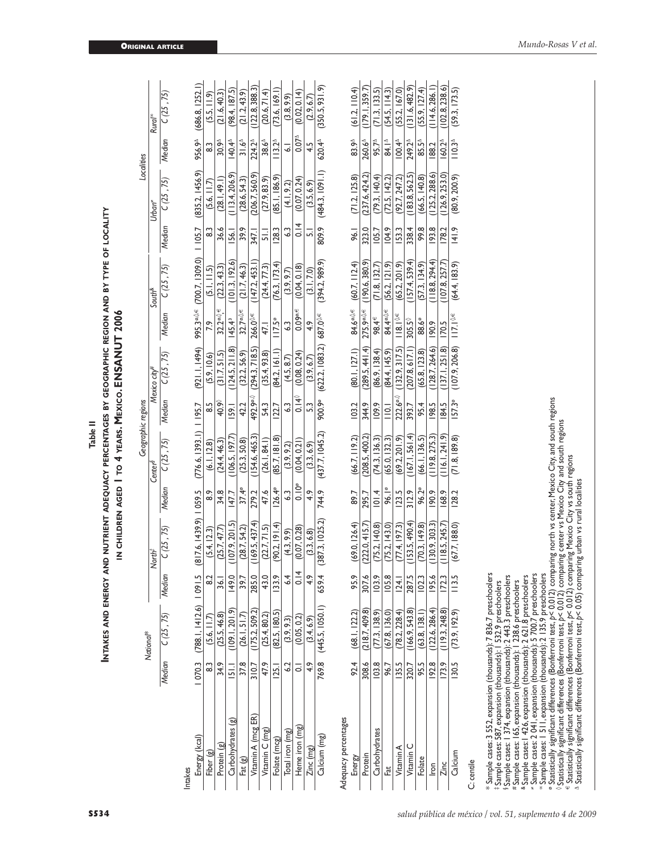|                                                                                                                                                                                                                                                                                                                                                          |                    |                           |                         |                                                                                |                 | Table II                                            |                       |                 |                        |                        |                |                 |                    |                     |
|----------------------------------------------------------------------------------------------------------------------------------------------------------------------------------------------------------------------------------------------------------------------------------------------------------------------------------------------------------|--------------------|---------------------------|-------------------------|--------------------------------------------------------------------------------|-----------------|-----------------------------------------------------|-----------------------|-----------------|------------------------|------------------------|----------------|-----------------|--------------------|---------------------|
|                                                                                                                                                                                                                                                                                                                                                          |                    | <b>INTAKES AND ENERGY</b> |                         | AND NUTRIENT ADEQUACY PERCENTAGES BY GEOGRAPHIC REGION AND BY TYPE OF LOCALITY |                 | IN CHILDREN AGED   TO 4 YEARS. MEXICO. ENSANUT 2006 |                       |                 |                        |                        |                |                 |                    |                     |
|                                                                                                                                                                                                                                                                                                                                                          |                    | National*                 |                         |                                                                                |                 | Geographic regions                                  |                       |                 |                        |                        |                | Localities      |                    |                     |
|                                                                                                                                                                                                                                                                                                                                                          |                    |                           |                         | North <sup>#</sup>                                                             |                 | Center <sup>8</sup>                                 |                       | Mexico city#    |                        | South <sup>&amp;</sup> |                | Urban"          |                    | Rural <sup>os</sup> |
|                                                                                                                                                                                                                                                                                                                                                          | Median             | C(25, 75)                 | Median                  | C(25, 75)                                                                      | Median          | C(25, 75)                                           | Median                | C(25, 75)       | Median                 | C(25, 75)              | Median         | C(25, 75)       | Median             | C(25, 75)           |
| Intakes                                                                                                                                                                                                                                                                                                                                                  |                    |                           |                         |                                                                                |                 |                                                     |                       |                 |                        |                        |                |                 |                    |                     |
| Energy (kcal)                                                                                                                                                                                                                                                                                                                                            | 070.3              | (788.1, 1412.6)           | $-10915$                | $(817.6, 1439.9)$   059.5                                                      |                 | (776.6, 1393.1)                                     | 1195.7                | (921.1.1494)    | 995.3º⊹®               | (700.7, 1309.0)        | 1105.7         | (835.2, 1456.9) | 956.9 <sup>4</sup> | (686.8, 1252.1)     |
| $\circledcirc$<br>Fiber                                                                                                                                                                                                                                                                                                                                  | 3                  | (5.6, 11.7)               | <u>ွ</u>                | (5.4, 12.3)                                                                    | 8.9             | (6.1, 12.8)                                         | $\frac{5}{8}$         | (5.9, 10.6)     |                        | (5.1, 11.5)            | 33             | (5.6, 11.7)     | 3                  | (5.5, 11.9)         |
| Protein (g)                                                                                                                                                                                                                                                                                                                                              | 34.9               | (25.5, 46.8)              | $\overline{36}$         | (25.7, 47.7)                                                                   | 34.8            | (24.4, 46.3)                                        | 40.9                  | (31.7, 51.5)    | $32.2^{\circ\sqrt}$    | (22.3, 43.3)           | 36.6           | (28.1, 49.1)    | 30.9 <sup>4</sup>  | (21.6, 40.3)        |
| $\mathbf{B}$<br>Carbohydrates                                                                                                                                                                                                                                                                                                                            | 51.1               | (109.1.201.9)             | 149.0                   | (107.9, 201.5)                                                                 | 147.7           | (106.5, 197.7)                                      | <b>IS9.1</b>          | (124.5, 211.8)  | 145.43                 | (101.3, 192.6)         | 156.1          | (113.4, 206.9)  | 140.4 <sup>A</sup> | (98.4, 187.5)       |
| Fat (g)                                                                                                                                                                                                                                                                                                                                                  | 37.8               | (26.1, 51.7)              | 39.7                    | (28.7, 54.2)                                                                   | $37.4^\circ$    | (25.3, 50.8)                                        | 42.2                  | (32.2, 56.9)    | 32.7®.0€               | (21.7, 46.3)           | 39.9           | (28.6, 54.3)    | $31.6^{4}$         | (21.2, 43.9)        |
| Vitamin A (mcg ER)                                                                                                                                                                                                                                                                                                                                       | 310.7              | (175.2, 509.2)            | 285.0                   | (169.5, 437.4)                                                                 | 279.2           | (154.6, 465.3)                                      | 492.9 <sup>o.()</sup> | (294.3, 718.5)  | 266.0 <sup>%€</sup>    | (147.2, 453.1)         | 347.1          | (206.7, 560.9)  | 224.2 <sup>4</sup> | (122.8, 388.3)      |
| Vitamin C (mg)                                                                                                                                                                                                                                                                                                                                           | 47.9               | (25.4, 80.2)              | 43.0                    | (22.7, 71.5)                                                                   | 47.6            | (26.1, 84.1)                                        | 54.3                  | (35.4, 93.8)    | 47.1                   | (24.4, 77.3)           | $\frac{1}{5}$  | (27.9, 83.9)    | 38.6 <sup>4</sup>  | (20.6, 71.4)        |
| Folate (mcg)                                                                                                                                                                                                                                                                                                                                             | $\overline{25}$    | (82.5, 180.5)             | <b>133.9</b>            | (90.2, 191.4)                                                                  | $126.4^{\circ}$ | (85.7, 181.8)                                       | 1227                  | (84.2, 161.1)   | $117.5^\circ$          | (76.3, 173.4)          | <b>128.3</b>   | (85.1, 186.9)   | $113.2^{\text{A}}$ | (73.6, 169.1)       |
| Total iron (mg)                                                                                                                                                                                                                                                                                                                                          | $\ddot{\circ}$     | (3.9, 9.3)                | 2                       | (4.3, 9.9)                                                                     | $\ddot{\rm s}$  | (3.9, 9.2)                                          | $\ddot{\rm s}$        | (4.5, 8.7)      | 3                      | (3.9, 9.7)             | $\ddot{\rm s}$ | (4.1, 9.2)      | $\overline{6}$     | (3.8, 9.9)          |
| Heme iron (mg)                                                                                                                                                                                                                                                                                                                                           | $\overline{\circ}$ | (0.05, 0.2)               | 4<br>$\overline{\circ}$ | (0.07, 0.28)                                                                   | $0.10^{\circ}$  | (0.04, 0.21)                                        | $0.14^{\circ}$        | (0.08, 0.24)    | $0.09^{\circ,\in}$     | (0.04, 0.18)           | 0.14           | (0.07, 0.24)    | $0.07^{\text{A}}$  | (0.02, 0.14)        |
| Zinc (mg)                                                                                                                                                                                                                                                                                                                                                | 4.9                | (3.4, 6.9)                | $\frac{6}{4}$           | (3.3, 6.8)                                                                     | 4.9             | (3.3, 6.9)                                          | $\mathbb{S}^3$        | (3.9, 6.7)      | 4.9                    | (3.1, 7.0)             | $\overline{5}$ | (3.5, 6.9)      | 4.5                | (2.9, 6.7)          |
| Calcium (mg)                                                                                                                                                                                                                                                                                                                                             | 769.8              | (445.5, 1050.1)           | 659.4                   | (387.3, 1025.2)                                                                | 744.9           | (437.7, 1045.2)                                     | 900.9°                | (622.2, 1083.2) | 687.0 <sup>0,€</sup>   | (394.2, 989.9)         | 809.9          | (484.3, 1091.1) | 620.4 <sup>A</sup> | (350.5, 931.9)      |
| Adequacy percentages                                                                                                                                                                                                                                                                                                                                     |                    |                           |                         |                                                                                |                 |                                                     |                       |                 |                        |                        |                |                 |                    |                     |
| Energy                                                                                                                                                                                                                                                                                                                                                   | 92.4               | (68.1, 122.2)             | 95.9                    | (69.0, 126.4)                                                                  | 89.7            | (66.7, 119.2)                                       | 103.2                 | (80.1, 127.1)   | 84.6º.◊.€              | (60.7, 112.4)          | 96.1           | (71.2, 125.8)   | 83.9 <sup>A</sup>  | (61.2, 110.4)       |
| Protein                                                                                                                                                                                                                                                                                                                                                  | 308.6              | (218.7, 409.8)            | 307.6                   | (222.0, 415.7)                                                                 | 295.7           | (208.5, 400.2)                                      | 344.9                 | (289.5, 441.4)  | 275.9ª.0€              | (190.6, 380.9)         | 323.0          | (237.6, 424.2)  | 260.6 <sup>4</sup> | (179.1.359.7        |
| Carbohydrates                                                                                                                                                                                                                                                                                                                                            | 103.8              | (77.3, 138.9)             | 103.9                   | (75.2, 140.8)                                                                  | 101.4           | (74.3, 136.3)                                       | 109.9                 | (86.9, 138.4)   | 98.4€                  | (71.8, 132.7)          | 105.7          | (79.3, 140.4)   | 95.7 <sup>A</sup>  | (71.3, 133.5)       |
| Fat                                                                                                                                                                                                                                                                                                                                                      | 96.7               | (67.8, 136.0)             | 105.8                   | (75.2, 143.0)                                                                  | 96.1º           | (65.0, 132.3)                                       | $\overline{a}$        | (84.4, 145.9)   |                        | (56.2, 121.9)          | 104.9          | (72.5, 142.2)   | 84. I <sup>A</sup> | (54.5, 114.3)       |
| Vitamin A                                                                                                                                                                                                                                                                                                                                                | 135.5              | (78.2, 228.4)             | 124.1                   | (77.4, 197.3)                                                                  | 123.5           | (69.2, 201.9)                                       | $222.6^{\circ\circ}$  | (132.9, 317.5)  | $118.1$ <sup>0.€</sup> | (65.2, 201.9)          | <b>I53.3</b>   | (92.7, 247.2)   | $100.4^{\circ}$    | (55.2, 167.0)       |
| Vitamin C                                                                                                                                                                                                                                                                                                                                                | 320.7              | (166.9.543.8)             | 287.5                   | (153.5, 490.4)                                                                 | 312.9           | (167.1, 561.4)                                      | 393.7                 | (207.8, 617.1)  | 305.5 <sup>0</sup>     | (157.4, 539.4)         | 338.4          | (183.8, 562.5)  | 249.2 <sup>4</sup> | (131.6, 482.9)      |
| Folate                                                                                                                                                                                                                                                                                                                                                   | 95.5               | (63.8, 138.1)             | 102.3                   | (70.3, 149.8)                                                                  | 96.2°           | (66.1, 136.5)                                       | 95.4                  | (65.8, 123.8)   | 88.6°                  | (57.3, 134.9)          | 99.8           | (66.5, 140.8)   | $85.5^{\circ}$     | (55.9, 127.4)       |
| lron                                                                                                                                                                                                                                                                                                                                                     | 192.8              | (122.6, 286.4)            | 195.6                   | (130.9, 303.3)                                                                 | 190,9           | (119.8, 275.3)                                      | 198.5                 | (128.7, 264.6)  | 190.9                  | (118.8, 294.4)         | 193.8          | (125.2, 288.6)  | 188.2              | (114.6, 286.1)      |
| Zinc                                                                                                                                                                                                                                                                                                                                                     | 173.9              | (119.3, 248.8)            | 172.3                   | (118.5, 245.7)                                                                 | 168.9           | (116.1, 241.9)                                      | 184.5                 | (137.1, 251.8)  | I70.5                  | (107.8, 257.7)         | 178.2          | (126.9, 253.0)  | $160.2^{\circ}$    | (102.8, 238.6)      |
| Calcium                                                                                                                                                                                                                                                                                                                                                  | 130.5              | (73.9, 192.9)             | 113.5                   | (67.7, 188.0)                                                                  | <b>128.2</b>    | (71.8, 189.8)                                       | 157.3°                | (107.9, 206.8)  | $  7. \%$              | (64.4, 183.9)          | 141.9          | (80.9, 200.9)   | $110.3^{\circ}$    | (59.3, 173.5)       |
| C: centile                                                                                                                                                                                                                                                                                                                                               |                    |                           |                         |                                                                                |                 |                                                     |                       |                 |                        |                        |                |                 |                    |                     |
| * Sample cases: 3 552, expansion (thousands): 7 836.7 preschooler<br>† Sample cases: 587, expansion (thousands): 1 532.9 preschoolers<br>§ Sample cases: 1 374, expansion (thousands): 2 443.3 preschooler:                                                                                                                                              |                    |                           | 5,                      |                                                                                |                 |                                                     |                       |                 |                        |                        |                |                 |                    |                     |
| <sup>8</sup> Sample cases: 1426, expansion (thousands): 2 621.8 preschoolers<br>#Sample cases: 165, expansion (thousands): 1 238.6 preschoolers                                                                                                                                                                                                          |                    |                           |                         |                                                                                |                 |                                                     |                       |                 |                        |                        |                |                 |                    |                     |
| º Statistically significant differences (Bonferroni test, p< 0.012) comparing north vs center, Mexico City, and south regions<br>* Sample cases: 2 04 i, expansion (thousands): 5 700.7 preschoolers<br>* Sample cases: 1 511, expansion (thousands): 2 135.9 preschoolers                                                                               |                    |                           |                         |                                                                                |                 |                                                     |                       |                 |                        |                        |                |                 |                    |                     |
| $\alpha$ statistically significant differences (Bonferroni test, $p < 0.012$ ) comparing center vs Mexico City and south regions<br>© Statistically significant differences (Bonferroni test, p< 0.012) comparing Mexico City vs south regions<br>^ Statistically significant differences (Bonferroni test, p< 0.05) comparing urban vs rural localities |                    |                           |                         |                                                                                |                 |                                                     |                       |                 |                        |                        |                |                 |                    |                     |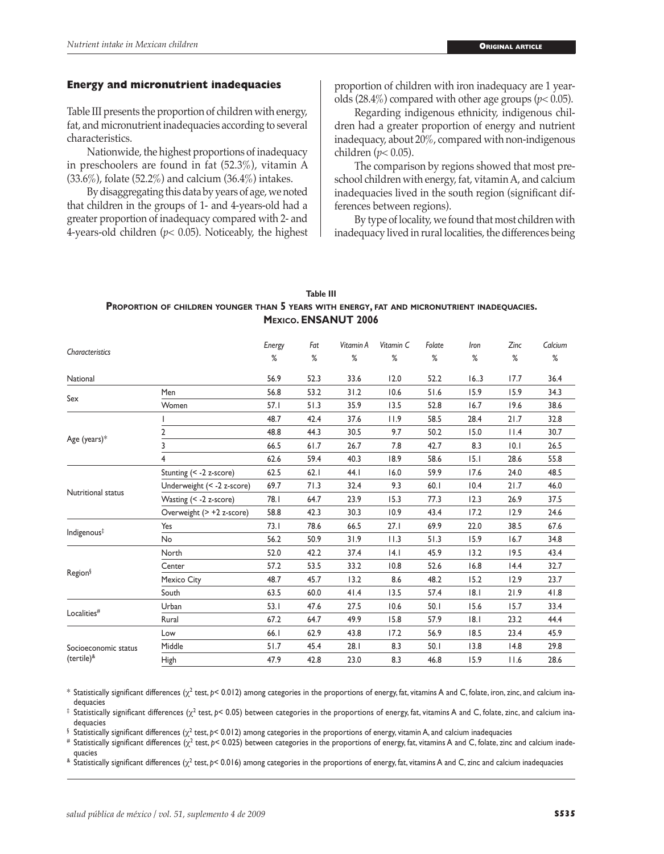#### **Energy and micronutrient inadequacies**

Table III presents the proportion of children with energy, fat, and micronutrient inadequacies according to several characteristics.

Nationwide, the highest proportions of inadequacy in preschoolers are found in fat (52.3%), vitamin A (33.6%), folate (52.2%) and calcium (36.4%) intakes.

By disaggregating this data by years of age, we noted that children in the groups of 1- and 4-years-old had a greater proportion of inadequacy compared with 2- and 4-years-old children (*p*< 0.05). Noticeably, the highest proportion of children with iron inadequacy are 1 yearolds  $(28.4\%)$  compared with other age groups ( $p$ < 0.05).

Regarding indigenous ethnicity, indigenous children had a greater proportion of energy and nutrient inadequacy, about 20%, compared with non-indigenous children (*p*< 0.05).

The comparison by regions showed that most preschool children with energy, fat, vitamin A, and calcium inadequacies lived in the south region (significant differences between regions).

By type of locality, we found that most children with inadequacy lived in rural localities, the differences being

## **Table III Proportion of children younger than 5 years with energy, fat and micronutrient inadequacies. Mexico. ENSANUT 2006**

|                            |                            | Energy | Fat  | Vitamin A | Vitamin C | Folate | Iron | Zinc | Calcium |
|----------------------------|----------------------------|--------|------|-----------|-----------|--------|------|------|---------|
| Characteristics            |                            | ℅      | %    | %         | %         | %      | ℅    | %    | $\%$    |
| National                   |                            | 56.9   | 52.3 | 33.6      | 12.0      | 52.2   | 16.3 | 17.7 | 36.4    |
|                            | Men                        | 56.8   | 53.2 | 31.2      | 10.6      | 51.6   | 15.9 | 15.9 | 34.3    |
| Sex                        | Women                      | 57.1   | 51.3 | 35.9      | 13.5      | 52.8   | 16.7 | 19.6 | 38.6    |
|                            |                            | 48.7   | 42.4 | 37.6      | 11.9      | 58.5   | 28.4 | 21.7 | 32.8    |
|                            | $\overline{2}$             | 48.8   | 44.3 | 30.5      | 9.7       | 50.2   | 15.0 | 11.4 | 30.7    |
| Age (years)*               | 3                          | 66.5   | 61.7 | 26.7      | 7.8       | 42.7   | 8.3  | 10.1 | 26.5    |
|                            | 4                          | 62.6   | 59.4 | 40.3      | 18.9      | 58.6   | 15.1 | 28.6 | 55.8    |
|                            | Stunting (< -2 z-score)    | 62.5   | 62.1 | 44.I      | 16.0      | 59.9   | 17.6 | 24.0 | 48.5    |
|                            | Underweight (< -2 z-score) | 69.7   | 71.3 | 32.4      | 9.3       | 60.1   | 10.4 | 21.7 | 46.0    |
| Nutritional status         | Wasting (< -2 z-score)     | 78.I   | 64.7 | 23.9      | 15.3      | 77.3   | 12.3 | 26.9 | 37.5    |
|                            | Overweight (> +2 z-score)  | 58.8   | 42.3 | 30.3      | 10.9      | 43.4   | 17.2 | 12.9 | 24.6    |
|                            | Yes                        | 73.1   | 78.6 | 66.5      | 27.1      | 69.9   | 22.0 | 38.5 | 67.6    |
| Indigenous <sup>#</sup>    | No                         | 56.2   | 50.9 | 31.9      | 11.3      | 51.3   | 15.9 | 16.7 | 34.8    |
|                            | North                      | 52.0   | 42.2 | 37.4      | 4.1       | 45.9   | 13.2 | 19.5 | 43.4    |
| Region <sup>§</sup>        | Center                     | 57.2   | 53.5 | 33.2      | 10.8      | 52.6   | 16.8 | 14.4 | 32.7    |
|                            | Mexico City                | 48.7   | 45.7 | 13.2      | 8.6       | 48.2   | 15.2 | 12.9 | 23.7    |
|                            | South                      | 63.5   | 60.0 | 41.4      | 13.5      | 57.4   | 8.1  | 21.9 | 41.8    |
|                            | Urban                      | 53.1   | 47.6 | 27.5      | 10.6      | 50.1   | 15.6 | 15.7 | 33.4    |
| Localities#                | Rural                      | 67.2   | 64.7 | 49.9      | 15.8      | 57.9   | 8.1  | 23.2 | 44.4    |
|                            | Low                        | 66.I   | 62.9 | 43.8      | 17.2      | 56.9   | 18.5 | 23.4 | 45.9    |
| Socioeconomic status       | Middle                     | 51.7   | 45.4 | 28.1      | 8.3       | 50.1   | 13.8 | 14.8 | 29.8    |
| (tertile) <sup>&amp;</sup> | High                       | 47.9   | 42.8 | 23.0      | 8.3       | 46.8   | 15.9 | 11.6 | 28.6    |

\* Statistically significant differences (χ<sup>2</sup> test, p< 0.012) among categories in the proportions of energy, fat, vitamins A and C, folate, iron, zinc, and calcium inadequacies

<sup>‡</sup> Statistically significant differences (χ<sup>2</sup> test, *p*< 0.05) between categories in the proportions of energy, fat, vitamins A and C, folate, zinc, and calcium inadequacies

 $\frac{\delta}{\delta}$  Statistically significant differences ( $\chi^2$  test,  $p$ < 0.012) among categories in the proportions of energy, vitamin A, and calcium inadequacies

# Statistically significant differences (χ<sup>2</sup> test, p< 0.025) between categories in the proportions of energy, fat, vitamins A and C, folate, zinc and calcium inade-

quacies<br><sup>&</sup> Statistically significant differences (χ<sup>2</sup> test, p< 0.016) among categories in the proportions of energy, fat, vitamins A and C, zinc and calcium inadequacies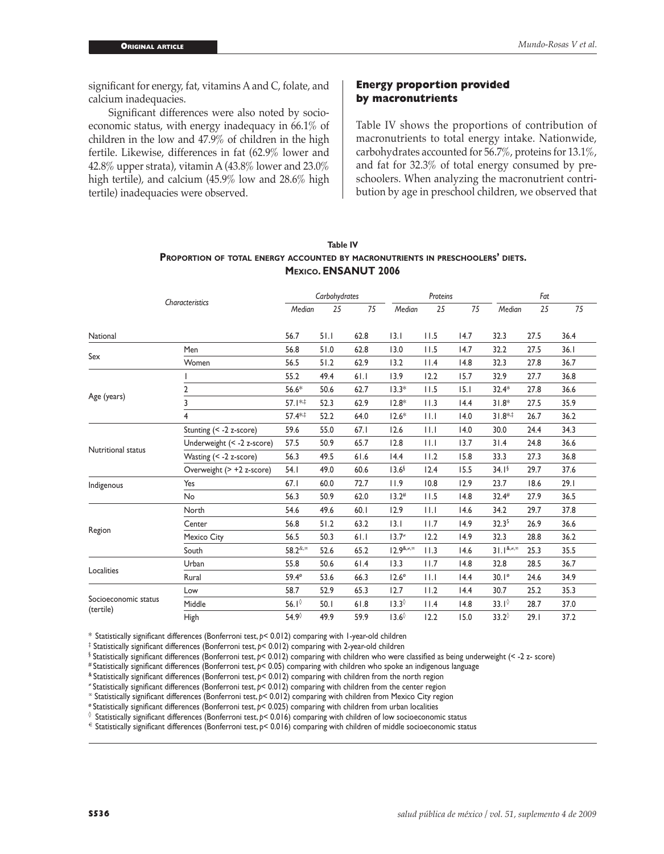significant for energy, fat, vitamins A and C, folate, and calcium inadequacies.

Significant differences were also noted by socioeconomic status, with energy inadequacy in 66.1% of children in the low and 47.9% of children in the high fertile. Likewise, differences in fat (62.9% lower and 42.8% upper strata), vitamin A  $(43.8\%$  lower and  $23.0\%$ high tertile), and calcium (45.9% low and 28.6% high tertile) inadequacies were observed.

#### **Energy proportion provided by macronutrients**

Table IV shows the proportions of contribution of macronutrients to total energy intake. Nationwide, carbohydrates accounted for 56.7%, proteins for 13.1%, and fat for 32.3% of total energy consumed by preschoolers. When analyzing the macronutrient contribution by age in preschool children, we observed that

|                      |                            | Carbohydrates      |      |      |                   | Proteins    |      | Fat               |      |      |
|----------------------|----------------------------|--------------------|------|------|-------------------|-------------|------|-------------------|------|------|
|                      | Characteristics            | Median             | 25   | 75   | Median            | 25          | 75   | Median            | 25   | 75   |
| National             |                            | 56.7               | 51.1 | 62.8 | 3.1               | 11.5        | 14.7 | 32.3              | 27.5 | 36.4 |
| Sex                  | Men                        | 56.8               | 51.0 | 62.8 | 13.0              | 11.5        | 14.7 | 32.2              | 27.5 | 36.1 |
|                      | Women                      | 56.5               | 51.2 | 62.9 | 13.2              | 11.4        | 14.8 | 32.3              | 27.8 | 36.7 |
|                      |                            | 55.2               | 49.4 | 61.1 | 13.9              | 12.2        | 15.7 | 32.9              | 27.7 | 36.8 |
|                      | 2                          | $56.6*$            | 50.6 | 62.7 | $13.3*$           | 11.5        | 15.1 | $32.4*$           | 27.8 | 36.6 |
| Age (years)          | 3                          | $57.1**$           | 52.3 | 62.9 | $12.8*$           | 11.3        | 14.4 | $31.8*$           | 27.5 | 35.9 |
|                      | 4                          | 57.4**             | 52.2 | 64.0 | $12.6*$           | 11.1        | 14.0 | $31.8**$          | 26.7 | 36.2 |
|                      | Stunting $(< -2 z$ -score) | 59.6               | 55.0 | 67.1 | 12.6              | 11.1        | 14.0 | 30.0              | 24.4 | 34.3 |
| Nutritional status   | Underweight (< -2 z-score) | 57.5               | 50.9 | 65.7 | 12.8              | $  \cdot  $ | 13.7 | 31.4              | 24.8 | 36.6 |
|                      | Wasting (< -2 z-score)     | 56.3               | 49.5 | 61.6 | 14.4              | 11.2        | 15.8 | 33.3              | 27.3 | 36.8 |
|                      | Overweight (> +2 z-score)  | 54.1               | 49.0 | 60.6 | 13.6 <sup>6</sup> | 12.4        | 15.5 | 34.1 <sup>6</sup> | 29.7 | 37.6 |
| Indigenous           | Yes                        | 67.1               | 60.0 | 72.7 | 11.9              | 10.8        | 12.9 | 23.7              | 18.6 | 29.1 |
|                      | No                         | 56.3               | 50.9 | 62.0 | 13.2#             | 11.5        | 14.8 | 32.4#             | 27.9 | 36.5 |
| Region               | North                      | 54.6               | 49.6 | 60.1 | 12.9              | 11.1        | 14.6 | 34.2              | 29.7 | 37.8 |
|                      | Center                     | 56.8               | 51.2 | 63.2 | 3.1               | 11.7        | 14.9 | 32.3 <sup>5</sup> | 26.9 | 36.6 |
|                      | Mexico City                | 56.5               | 50.3 | 61.1 | $13.7*$           | 12.2        | 14.9 | 32.3              | 28.8 | 36.2 |
|                      | South                      | 58.2 &, $\infty$   | 52.6 | 65.2 | $12.9^{8,4,0}$    | 11.3        | 14.6 | $31.1^{8,4,0}$    | 25.3 | 35.5 |
|                      | Urban                      | 55.8               | 50.6 | 61.4 | 13.3              | 11.7        | 14.8 | 32.8              | 28.5 | 36.7 |
| Localities           | Rural                      | 59.4°              | 53.6 | 66.3 | $12.6^\circ$      | 11.1        | 14.4 | $30.1^\circ$      | 24.6 | 34.9 |
|                      | Low                        | 58.7               | 52.9 | 65.3 | 12.7              | 11.2        | 14.4 | 30.7              | 25.2 | 35.3 |
| Socioeconomic status | Middle                     | 56. $I^{\lozenge}$ | 50.1 | 61.8 | $13.3^\circ$      | 11.4        | 14.8 | $33.1^\circ$      | 28.7 | 37.0 |
| (tertile)            | High                       | 54.9 $^{\circ}$    | 49.9 | 59.9 | $13.6^\circ$      | 12.2        | 15.0 | $33.2^\circ$      | 29.1 | 37.2 |

## **Table IV Proportion of total energy accounted by macronutrients in preschoolers' diets. Mexico. ENSANUT 2006**

\* Statistically significant differences (Bonferroni test, *p*< 0.012) comparing with 1-year-old children

‡ Statistically significant differences (Bonferroni test, *p*< 0.012) comparing with 2-year-old children

§ Statistically significant differences (Bonferroni test, *p*< 0.012) comparing with children who were classified as being underweight (< -2 z- score)

# Statistically significant differences (Bonferroni test, *p*< 0.05) comparing with children who spoke an indigenous language

& Statistically significant differences (Bonferroni test, *p*< 0.012) comparing with children from the north region

<sup>≠</sup> Statistically significant differences (Bonferroni test, *p*< 0.012) comparing with children from the center region

<sup>∞</sup> Statistically significant differences (Bonferroni test, *p*< 0.012) comparing with children from Mexico City region

<sup>ø</sup> Statistically significant differences (Bonferroni test, *p*< 0.025) comparing with children from urban localities

◊ Statistically significant differences (Bonferroni test, *p*< 0.016) comparing with children of low socioeconomic status

€ Statistically significant differences (Bonferroni test, p< 0.016) comparing with children of middle socioeconomic status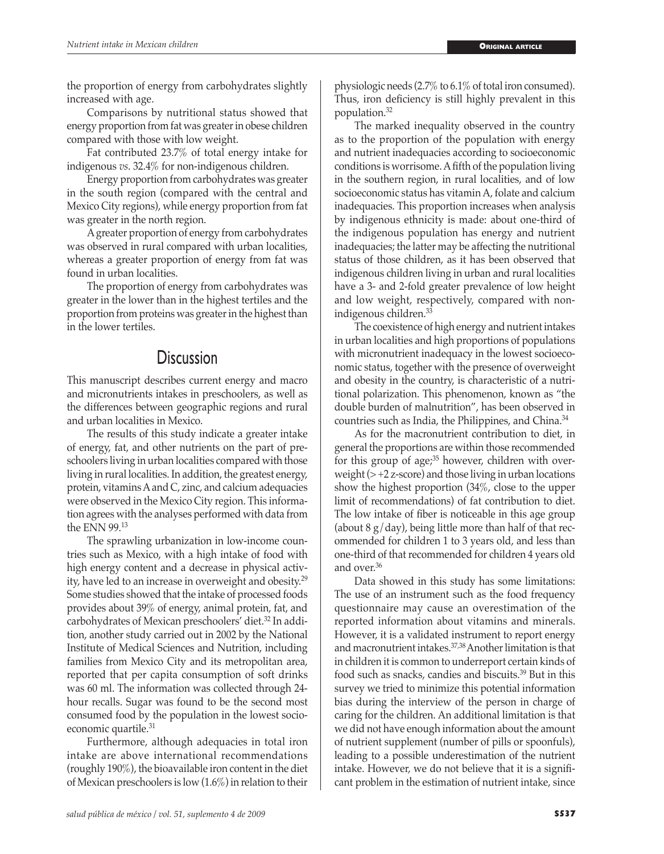the proportion of energy from carbohydrates slightly increased with age.

Comparisons by nutritional status showed that energy proportion from fat was greater in obese children compared with those with low weight.

Fat contributed 23.7% of total energy intake for indigenous *vs*. 32.4% for non-indigenous children.

Energy proportion from carbohydrates was greater in the south region (compared with the central and Mexico City regions), while energy proportion from fat was greater in the north region.

A greater proportion of energy from carbohydrates was observed in rural compared with urban localities, whereas a greater proportion of energy from fat was found in urban localities.

The proportion of energy from carbohydrates was greater in the lower than in the highest tertiles and the proportion from proteins was greater in the highest than in the lower tertiles.

# **Discussion**

This manuscript describes current energy and macro and micronutrients intakes in preschoolers, as well as the differences between geographic regions and rural and urban localities in Mexico.

The results of this study indicate a greater intake of energy, fat, and other nutrients on the part of preschoolers living in urban localities compared with those living in rural localities. In addition, the greatest energy, protein, vitamins A and C, zinc, and calcium adequacies were observed in the Mexico City region. This information agrees with the analyses performed with data from the ENN 99.<sup>13</sup>

The sprawling urbanization in low-income countries such as Mexico, with a high intake of food with high energy content and a decrease in physical activity, have led to an increase in overweight and obesity.29 Some studies showed that the intake of processed foods provides about 39% of energy, animal protein, fat, and carbohydrates of Mexican preschoolers' diet.32 In addition, another study carried out in 2002 by the National Institute of Medical Sciences and Nutrition, including families from Mexico City and its metropolitan area, reported that per capita consumption of soft drinks was 60 ml. The information was collected through 24 hour recalls. Sugar was found to be the second most consumed food by the population in the lowest socioeconomic quartile.<sup>31</sup>

Furthermore, although adequacies in total iron intake are above international recommendations (roughly 190%), the bioavailable iron content in the diet of Mexican preschoolers is low (1.6%) in relation to their

*salud pública de méxico / vol. 51, suplemento 4 de 2009* **S537**

physiologic needs (2.7% to 6.1% of total iron consumed). Thus, iron deficiency is still highly prevalent in this population.<sup>32</sup>

The marked inequality observed in the country as to the proportion of the population with energy and nutrient inadequacies according to socioeconomic conditions is worrisome. A fifth of the population living in the southern region, in rural localities, and of low socioeconomic status has vitamin A, folate and calcium inadequacies. This proportion increases when analysis by indigenous ethnicity is made: about one-third of the indigenous population has energy and nutrient inadequacies; the latter may be affecting the nutritional status of those children, as it has been observed that indigenous children living in urban and rural localities have a 3- and 2-fold greater prevalence of low height and low weight, respectively, compared with nonindigenous children.<sup>33</sup>

The coexistence of high energy and nutrient intakes in urban localities and high proportions of populations with micronutrient inadequacy in the lowest socioeconomic status, together with the presence of overweight and obesity in the country, is characteristic of a nutritional polarization. This phenomenon, known as "the double burden of malnutrition", has been observed in countries such as India, the Philippines, and China.34

As for the macronutrient contribution to diet, in general the proportions are within those recommended for this group of age; $35$  however, children with overweight  $(> +2 z$ -score) and those living in urban locations show the highest proportion (34%, close to the upper limit of recommendations) of fat contribution to diet. The low intake of fiber is noticeable in this age group (about  $8 \text{ g/day}$ ), being little more than half of that recommended for children 1 to 3 years old, and less than one-third of that recommended for children 4 years old and over 36

Data showed in this study has some limitations: The use of an instrument such as the food frequency questionnaire may cause an overestimation of the reported information about vitamins and minerals. However, it is a validated instrument to report energy and macronutrient intakes.37,38 Another limitation is that in children it is common to underreport certain kinds of food such as snacks, candies and biscuits.39 But in this survey we tried to minimize this potential information bias during the interview of the person in charge of caring for the children. An additional limitation is that we did not have enough information about the amount of nutrient supplement (number of pills or spoonfuls), leading to a possible underestimation of the nutrient intake. However, we do not believe that it is a significant problem in the estimation of nutrient intake, since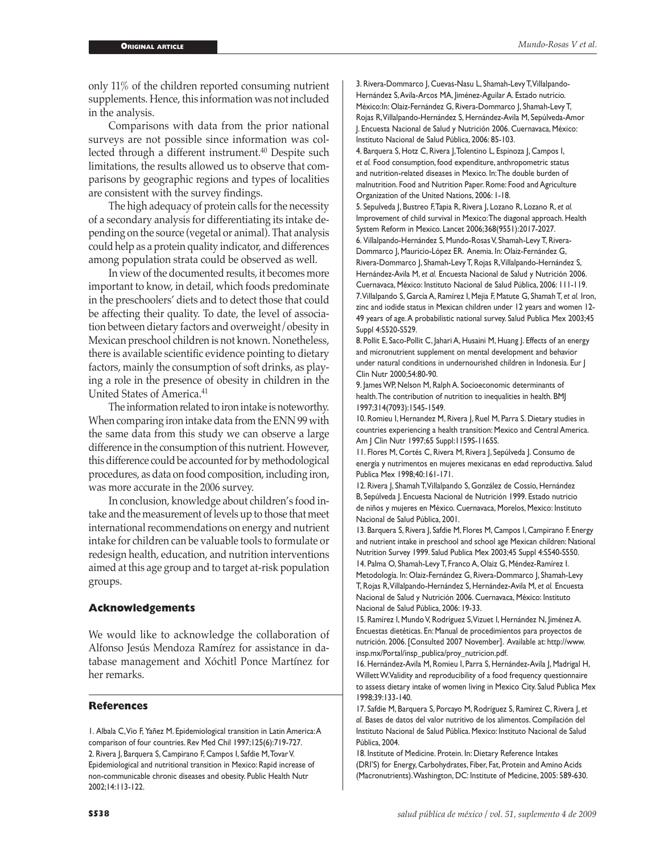only 11% of the children reported consuming nutrient supplements. Hence, this information was not included in the analysis.

Comparisons with data from the prior national surveys are not possible since information was collected through a different instrument.<sup>40</sup> Despite such limitations, the results allowed us to observe that comparisons by geographic regions and types of localities are consistent with the survey findings.

The high adequacy of protein calls for the necessity of a secondary analysis for differentiating its intake depending on the source (vegetal or animal). That analysis could help as a protein quality indicator, and differences among population strata could be observed as well.

In view of the documented results, it becomes more important to know, in detail, which foods predominate in the preschoolers' diets and to detect those that could be affecting their quality. To date, the level of association between dietary factors and overweight/obesity in Mexican preschool children is not known. Nonetheless, there is available scientific evidence pointing to dietary factors, mainly the consumption of soft drinks, as playing a role in the presence of obesity in children in the United States of America.41

The information related to iron intake is noteworthy. When comparing iron intake data from the ENN 99 with the same data from this study we can observe a large difference in the consumption of this nutrient. However, this difference could be accounted for by methodological procedures, as data on food composition, including iron, was more accurate in the 2006 survey.

In conclusion, knowledge about children's food intake and the measurement of levels up to those that meet international recommendations on energy and nutrient intake for children can be valuable tools to formulate or redesign health, education, and nutrition interventions aimed at this age group and to target at-risk population groups.

#### **Acknowledgements**

We would like to acknowledge the collaboration of Alfonso Jesús Mendoza Ramírez for assistance in database management and Xóchitl Ponce Martínez for her remarks.

#### **References**

1. Albala C, Vio F, Yañez M. Epidemiological transition in Latin America: A comparison of four countries. Rev Med Chil 1997;125(6):719-727. 2. Rivera J, Barquera S, Campirano F, Campos I, Safdie M, Tovar V. Epidemiological and nutritional transition in Mexico: Rapid increase of non-communicable chronic diseases and obesity. Public Health Nutr 2002;14:113-122.

3. Rivera-Dommarco J, Cuevas-Nasu L, Shamah-Levy T, Villalpando-Hernández S, Avila-Arcos MA, Jiménez-Aguilar A. Estado nutricio. México:In: Olaiz-Fernández G, Rivera-Dommarco J, Shamah-Levy T, Rojas R, Villalpando-Hernández S, Hernández-Avila M, Sepúlveda-Amor J. Encuesta Nacional de Salud y Nutrición 2006. Cuernavaca, México: Instituto Nacional de Salud Pública, 2006: 85-103.

4. Barquera S, Hotz C, Rivera J, Tolentino L, Espinoza J, Campos I, *et al.* Food consumption, food expenditure, anthropometric status and nutrition-related diseases in Mexico. In: The double burden of malnutrition. Food and Nutrition Paper. Rome: Food and Agriculture Organization of the United Nations, 2006: 1-18.

5. Sepulveda J, Bustreo F, Tapia R, Rivera J, Lozano R, Lozano R, *et al.* Improvement of child survival in Mexico: The diagonal approach. Health System Reform in Mexico. Lancet 2006;368(9551):2017-2027.

6. Villalpando-Hernández S, Mundo-Rosas V, Shamah-Levy T, Rivera-Dommarco J, Mauricio-López ER. Anemia. In: Olaiz-Fernández G, Rivera-Dommarco J, Shamah-Levy T, Rojas R, Villalpando-Hernández S, Hernández-Avila M, *et al.* Encuesta Nacional de Salud y Nutrición 2006. Cuernavaca, México: Instituto Nacional de Salud Pública, 2006: 111-119. 7. Villalpando S, García A, Ramírez I, Mejia F, Matute G, Shamah T, *et al.* Iron, zinc and iodide status in Mexican children under 12 years and women 12- 49 years of age. A probabilistic national survey. Salud Publica Mex 2003;45 Suppl 4:S520-S529.

8. Pollit E, Saco-Pollit C, Jahari A, Husaini M, Huang J. Effects of an energy and micronutrient supplement on mental development and behavior under natural conditions in undernourished children in Indonesia. Eur J Clin Nutr 2000;54:80-90.

9. James WP, Nelson M, Ralph A. Socioeconomic determinants of health. The contribution of nutrition to inequalities in health. BMJ 1997;314(7093):1545-1549.

10. Romieu I, Hernandez M, Rivera J, Ruel M, Parra S. Dietary studies in countries experiencing a health transition: Mexico and Central America. Am J Clin Nutr 1997;65 Suppl:1159S-1165S.

11. Flores M, Cortés C, Rivera M, Rivera J, Sepúlveda J. Consumo de energía y nutrimentos en mujeres mexicanas en edad reproductiva. Salud Publica Mex 1998;40:161-171.

12. Rivera J, Shamah T, Villalpando S, González de Cossío, Hernández B, Sepúlveda J. Encuesta Nacional de Nutrición 1999. Estado nutricio de niños y mujeres en México. Cuernavaca, Morelos, Mexico: Instituto Nacional de Salud Pública, 2001.

13. Barquera S, Rivera J, Safdie M, Flores M, Campos I, Campirano F. Energy and nutrient intake in preschool and school age Mexican children: National Nutrition Survey 1999. Salud Publica Mex 2003;45 Suppl 4:S540-S550.

14. Palma O, Shamah-Levy T, Franco A, Olaiz G, Méndez-Ramírez I. Metodología. In: Olaiz-Fernández G, Rivera-Dommarco J, Shamah-Levy T, Rojas R, Villalpando-Hernández S, Hernández-Avila M, *et al.* Encuesta Nacional de Salud y Nutrición 2006. Cuernavaca, México: Instituto Nacional de Salud Pública, 2006: 19-33.

15. Ramírez I, Mundo V, Rodríguez S, Vizuet I, Hernández N, Jiménez A. Encuestas dietéticas. En: Manual de procedimientos para proyectos de nutrición. 2006. [Consulted 2007 November]. Available at: http://www. insp.mx/Portal/insp\_publica/proy\_nutricion.pdf.

16. Hernández-Avila M, Romieu I, Parra S, Hernández-Avila J, Madrigal H, Willett W. Validity and reproducibility of a food frequency questionnaire to assess dietary intake of women living in Mexico City. Salud Publica Mex 1998;39:133-140.

17. Safdie M, Barquera S, Porcayo M, Rodríguez S, Ramírez C, Rivera J, *et al.* Bases de datos del valor nutritivo de los alimentos. Compilación del Instituto Nacional de Salud Pública. Mexico: Instituto Nacional de Salud Pública, 2004.

18. Institute of Medicine. Protein. In: Dietary Reference Intakes (DRI'S) for Energy, Carbohydrates, Fiber, Fat, Protein and Amino Acids (Macronutrients). Washington, DC: Institute of Medicine, 2005: 589-630.